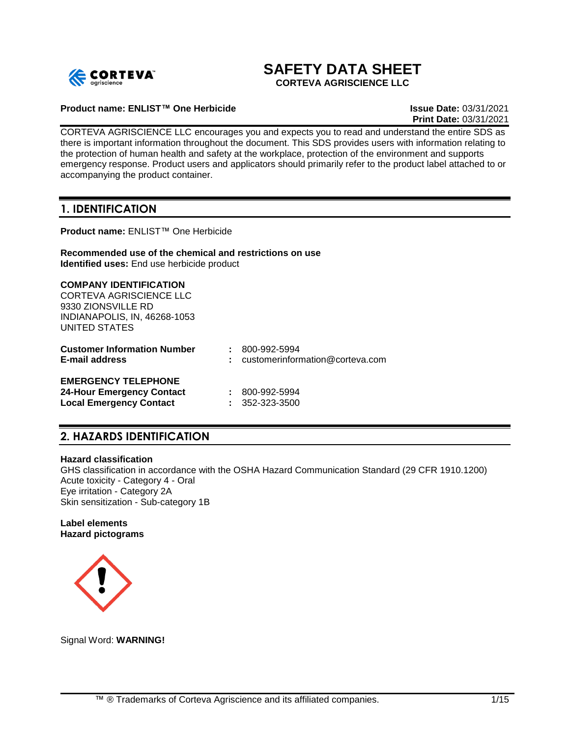

# **SAFETY DATA SHEET**

**CORTEVA AGRISCIENCE LLC**

### **Product name: ENLIST™ One Herbicide Issue Date:** 03/31/2021

**Print Date:** 03/31/2021

CORTEVA AGRISCIENCE LLC encourages you and expects you to read and understand the entire SDS as there is important information throughout the document. This SDS provides users with information relating to the protection of human health and safety at the workplace, protection of the environment and supports emergency response. Product users and applicators should primarily refer to the product label attached to or accompanying the product container.

## **1. IDENTIFICATION**

**Product name:** ENLIST™ One Herbicide

#### **Recommended use of the chemical and restrictions on use Identified uses:** End use herbicide product

#### **COMPANY IDENTIFICATION**

CORTEVA AGRISCIENCE LLC 9330 ZIONSVILLE RD INDIANAPOLIS, IN, 46268-1053 UNITED STATES

| <b>Customer Information Number</b><br><b>E-mail address</b> | $: 800 - 992 - 5994$<br>$:$ customerinformation@corteva.com |
|-------------------------------------------------------------|-------------------------------------------------------------|
| <b>EMERGENCY TELEPHONE</b>                                  |                                                             |
| <b>24-Hour Emergency Contact</b>                            | $: 800 - 992 - 5994$                                        |
| <b>Local Emergency Contact</b>                              | $: 352 - 323 - 3500$                                        |

## **2. HAZARDS IDENTIFICATION**

#### **Hazard classification**

GHS classification in accordance with the OSHA Hazard Communication Standard (29 CFR 1910.1200) Acute toxicity - Category 4 - Oral Eye irritation - Category 2A Skin sensitization - Sub-category 1B

#### **Label elements Hazard pictograms**



Signal Word: **WARNING!**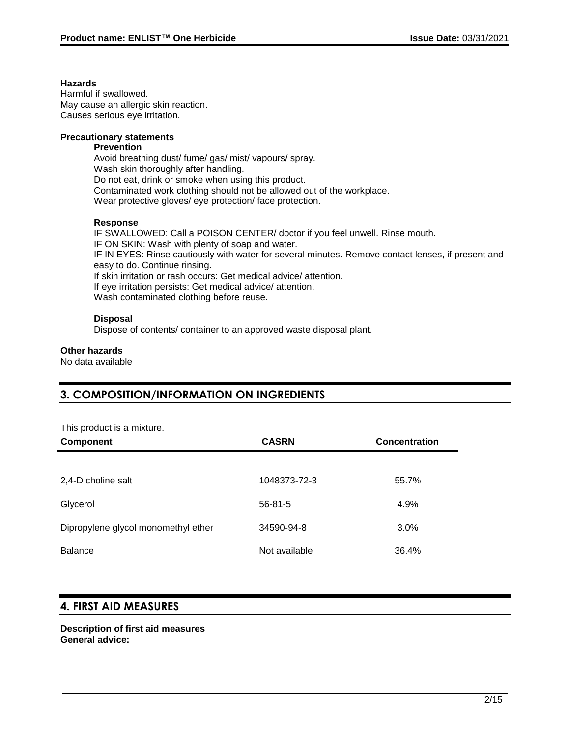## **Hazards**

Harmful if swallowed. May cause an allergic skin reaction. Causes serious eye irritation.

## **Precautionary statements**

#### **Prevention**

Avoid breathing dust/ fume/ gas/ mist/ vapours/ spray. Wash skin thoroughly after handling. Do not eat, drink or smoke when using this product. Contaminated work clothing should not be allowed out of the workplace. Wear protective gloves/ eye protection/ face protection.

### **Response**

IF SWALLOWED: Call a POISON CENTER/ doctor if you feel unwell. Rinse mouth. IF ON SKIN: Wash with plenty of soap and water. IF IN EYES: Rinse cautiously with water for several minutes. Remove contact lenses, if present and easy to do. Continue rinsing. If skin irritation or rash occurs: Get medical advice/ attention. If eye irritation persists: Get medical advice/ attention. Wash contaminated clothing before reuse.

## **Disposal**

Dispose of contents/ container to an approved waste disposal plant.

### **Other hazards**

No data available

## **3. COMPOSITION/INFORMATION ON INGREDIENTS**

| This product is a mixture.          |               |               |
|-------------------------------------|---------------|---------------|
| <b>Component</b>                    | <b>CASRN</b>  | Concentration |
|                                     |               |               |
| 2,4-D choline salt                  | 1048373-72-3  | 55.7%         |
| Glycerol                            | $56 - 81 - 5$ | 4.9%          |
| Dipropylene glycol monomethyl ether | 34590-94-8    | 3.0%          |
| <b>Balance</b>                      | Not available | 36.4%         |

## **4. FIRST AID MEASURES**

**Description of first aid measures General advice:**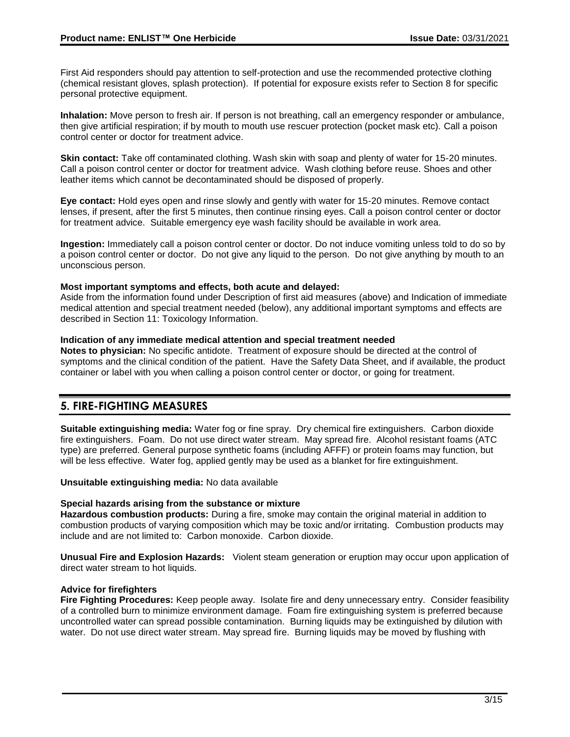First Aid responders should pay attention to self-protection and use the recommended protective clothing (chemical resistant gloves, splash protection). If potential for exposure exists refer to Section 8 for specific personal protective equipment.

**Inhalation:** Move person to fresh air. If person is not breathing, call an emergency responder or ambulance, then give artificial respiration; if by mouth to mouth use rescuer protection (pocket mask etc). Call a poison control center or doctor for treatment advice.

**Skin contact:** Take off contaminated clothing. Wash skin with soap and plenty of water for 15-20 minutes. Call a poison control center or doctor for treatment advice. Wash clothing before reuse. Shoes and other leather items which cannot be decontaminated should be disposed of properly.

**Eye contact:** Hold eyes open and rinse slowly and gently with water for 15-20 minutes. Remove contact lenses, if present, after the first 5 minutes, then continue rinsing eyes. Call a poison control center or doctor for treatment advice. Suitable emergency eye wash facility should be available in work area.

**Ingestion:** Immediately call a poison control center or doctor. Do not induce vomiting unless told to do so by a poison control center or doctor. Do not give any liquid to the person. Do not give anything by mouth to an unconscious person.

#### **Most important symptoms and effects, both acute and delayed:**

Aside from the information found under Description of first aid measures (above) and Indication of immediate medical attention and special treatment needed (below), any additional important symptoms and effects are described in Section 11: Toxicology Information.

### **Indication of any immediate medical attention and special treatment needed**

**Notes to physician:** No specific antidote. Treatment of exposure should be directed at the control of symptoms and the clinical condition of the patient. Have the Safety Data Sheet, and if available, the product container or label with you when calling a poison control center or doctor, or going for treatment.

## **5. FIRE-FIGHTING MEASURES**

**Suitable extinguishing media:** Water fog or fine spray. Dry chemical fire extinguishers. Carbon dioxide fire extinguishers. Foam. Do not use direct water stream. May spread fire. Alcohol resistant foams (ATC type) are preferred. General purpose synthetic foams (including AFFF) or protein foams may function, but will be less effective. Water fog, applied gently may be used as a blanket for fire extinguishment.

**Unsuitable extinguishing media:** No data available

## **Special hazards arising from the substance or mixture**

**Hazardous combustion products:** During a fire, smoke may contain the original material in addition to combustion products of varying composition which may be toxic and/or irritating. Combustion products may include and are not limited to: Carbon monoxide. Carbon dioxide.

**Unusual Fire and Explosion Hazards:** Violent steam generation or eruption may occur upon application of direct water stream to hot liquids.

#### **Advice for firefighters**

**Fire Fighting Procedures:** Keep people away. Isolate fire and deny unnecessary entry. Consider feasibility of a controlled burn to minimize environment damage. Foam fire extinguishing system is preferred because uncontrolled water can spread possible contamination. Burning liquids may be extinguished by dilution with water. Do not use direct water stream. May spread fire. Burning liquids may be moved by flushing with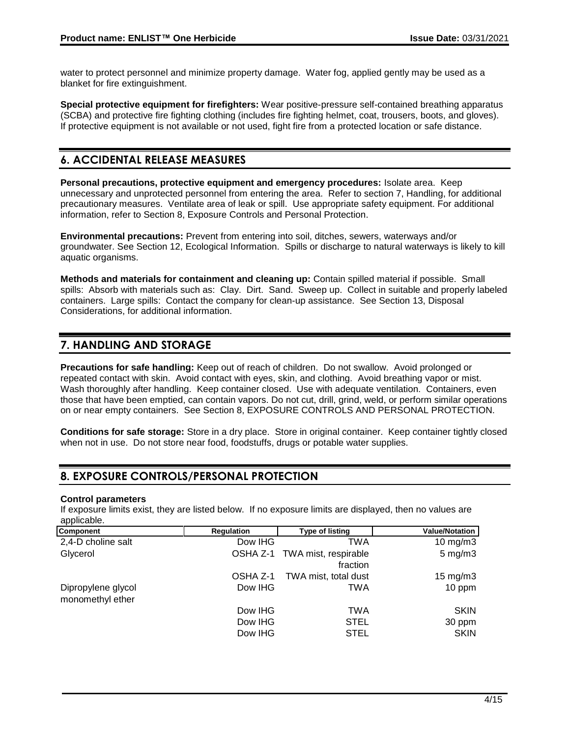water to protect personnel and minimize property damage. Water fog, applied gently may be used as a blanket for fire extinguishment.

**Special protective equipment for firefighters:** Wear positive-pressure self-contained breathing apparatus (SCBA) and protective fire fighting clothing (includes fire fighting helmet, coat, trousers, boots, and gloves). If protective equipment is not available or not used, fight fire from a protected location or safe distance.

## **6. ACCIDENTAL RELEASE MEASURES**

**Personal precautions, protective equipment and emergency procedures:** Isolate area. Keep unnecessary and unprotected personnel from entering the area. Refer to section 7, Handling, for additional precautionary measures. Ventilate area of leak or spill. Use appropriate safety equipment. For additional information, refer to Section 8, Exposure Controls and Personal Protection.

**Environmental precautions:** Prevent from entering into soil, ditches, sewers, waterways and/or groundwater. See Section 12, Ecological Information. Spills or discharge to natural waterways is likely to kill aquatic organisms.

**Methods and materials for containment and cleaning up:** Contain spilled material if possible. Small spills: Absorb with materials such as: Clay. Dirt. Sand. Sweep up. Collect in suitable and properly labeled containers. Large spills: Contact the company for clean-up assistance. See Section 13, Disposal Considerations, for additional information.

## **7. HANDLING AND STORAGE**

**Precautions for safe handling:** Keep out of reach of children. Do not swallow. Avoid prolonged or repeated contact with skin. Avoid contact with eyes, skin, and clothing. Avoid breathing vapor or mist. Wash thoroughly after handling. Keep container closed. Use with adequate ventilation. Containers, even those that have been emptied, can contain vapors. Do not cut, drill, grind, weld, or perform similar operations on or near empty containers. See Section 8, EXPOSURE CONTROLS AND PERSONAL PROTECTION.

**Conditions for safe storage:** Store in a dry place. Store in original container. Keep container tightly closed when not in use. Do not store near food, foodstuffs, drugs or potable water supplies.

## **8. EXPOSURE CONTROLS/PERSONAL PROTECTION**

## **Control parameters**

If exposure limits exist, they are listed below. If no exposure limits are displayed, then no values are applicable.

| <b>Component</b>   | <b>Regulation</b> | <b>Type of listing</b>        | <b>Value/Notation</b> |
|--------------------|-------------------|-------------------------------|-----------------------|
| 2,4-D choline salt | Dow IHG           | TWA                           | $10 \text{ mg/m}$     |
| Glycerol           |                   | OSHA Z-1 TWA mist, respirable | $5 \text{ mg/m}$      |
|                    |                   | fraction                      |                       |
|                    | OSHA Z-1          | TWA mist, total dust          | $15 \text{ mg/m}$     |
| Dipropylene glycol | Dow IHG           | TWA                           | 10 ppm                |
| monomethyl ether   |                   |                               |                       |
|                    | Dow IHG           | TWA                           | <b>SKIN</b>           |
|                    | Dow IHG           | <b>STEL</b>                   | 30 ppm                |
|                    | Dow IHG           | <b>STEL</b>                   | <b>SKIN</b>           |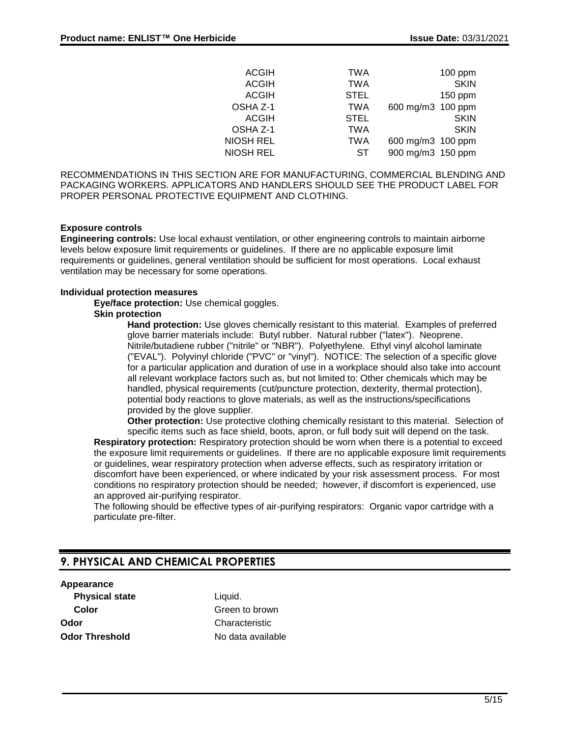| <b>ACGIH</b> | <b>TWA</b>  |                   | $100$ ppm   |
|--------------|-------------|-------------------|-------------|
| <b>ACGIH</b> | <b>TWA</b>  |                   | <b>SKIN</b> |
| <b>ACGIH</b> | <b>STEL</b> |                   | 150 ppm     |
| OSHA Z-1     | <b>TWA</b>  | 600 mg/m3 100 ppm |             |
| <b>ACGIH</b> | <b>STEL</b> |                   | <b>SKIN</b> |
| OSHA Z-1     | <b>TWA</b>  |                   | <b>SKIN</b> |
| NIOSH REL    | <b>TWA</b>  | 600 mg/m3 100 ppm |             |
| NIOSH REL    | SТ          | 900 mg/m3 150 ppm |             |
|              |             |                   |             |

RECOMMENDATIONS IN THIS SECTION ARE FOR MANUFACTURING, COMMERCIAL BLENDING AND PACKAGING WORKERS. APPLICATORS AND HANDLERS SHOULD SEE THE PRODUCT LABEL FOR PROPER PERSONAL PROTECTIVE EQUIPMENT AND CLOTHING.

#### **Exposure controls**

**Engineering controls:** Use local exhaust ventilation, or other engineering controls to maintain airborne levels below exposure limit requirements or guidelines. If there are no applicable exposure limit requirements or guidelines, general ventilation should be sufficient for most operations. Local exhaust ventilation may be necessary for some operations.

#### **Individual protection measures**

**Eye/face protection:** Use chemical goggles.

#### **Skin protection**

**Hand protection:** Use gloves chemically resistant to this material. Examples of preferred glove barrier materials include: Butyl rubber. Natural rubber ("latex"). Neoprene. Nitrile/butadiene rubber ("nitrile" or "NBR"). Polyethylene. Ethyl vinyl alcohol laminate ("EVAL"). Polyvinyl chloride ("PVC" or "vinyl"). NOTICE: The selection of a specific glove for a particular application and duration of use in a workplace should also take into account all relevant workplace factors such as, but not limited to: Other chemicals which may be handled, physical requirements (cut/puncture protection, dexterity, thermal protection), potential body reactions to glove materials, as well as the instructions/specifications provided by the glove supplier.

**Other protection:** Use protective clothing chemically resistant to this material. Selection of specific items such as face shield, boots, apron, or full body suit will depend on the task.

**Respiratory protection:** Respiratory protection should be worn when there is a potential to exceed the exposure limit requirements or guidelines. If there are no applicable exposure limit requirements or guidelines, wear respiratory protection when adverse effects, such as respiratory irritation or discomfort have been experienced, or where indicated by your risk assessment process. For most conditions no respiratory protection should be needed; however, if discomfort is experienced, use an approved air-purifying respirator.

The following should be effective types of air-purifying respirators: Organic vapor cartridge with a particulate pre-filter.

## **9. PHYSICAL AND CHEMICAL PROPERTIES**

## **Appearance**

**Physical state** Liquid. **Odor** Characteristic **Odor Threshold** No data available

**Color** Green to brown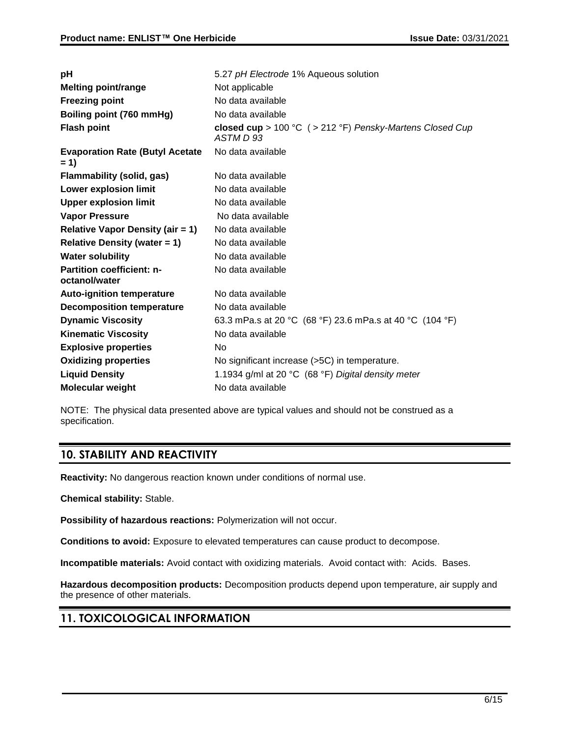| рH                                                | 5.27 pH Electrode 1% Aqueous solution                                    |
|---------------------------------------------------|--------------------------------------------------------------------------|
| <b>Melting point/range</b>                        | Not applicable                                                           |
| <b>Freezing point</b>                             | No data available                                                        |
| Boiling point (760 mmHg)                          | No data available                                                        |
| <b>Flash point</b>                                | closed cup > 100 °C $($ > 212 °F) Pensky-Martens Closed Cup<br>ASTM D 93 |
| <b>Evaporation Rate (Butyl Acetate</b><br>$= 1$   | No data available                                                        |
| <b>Flammability (solid, gas)</b>                  | No data available                                                        |
| Lower explosion limit                             | No data available                                                        |
| <b>Upper explosion limit</b>                      | No data available                                                        |
| <b>Vapor Pressure</b>                             | No data available                                                        |
| <b>Relative Vapor Density (air = 1)</b>           | No data available                                                        |
| <b>Relative Density (water = 1)</b>               | No data available                                                        |
| <b>Water solubility</b>                           | No data available                                                        |
| <b>Partition coefficient: n-</b><br>octanol/water | No data available                                                        |
| <b>Auto-ignition temperature</b>                  | No data available                                                        |
| <b>Decomposition temperature</b>                  | No data available                                                        |
| <b>Dynamic Viscosity</b>                          | 63.3 mPa.s at 20 °C (68 °F) 23.6 mPa.s at 40 °C (104 °F)                 |
| <b>Kinematic Viscosity</b>                        | No data available                                                        |
| <b>Explosive properties</b>                       | No                                                                       |
| <b>Oxidizing properties</b>                       | No significant increase (>5C) in temperature.                            |
| <b>Liquid Density</b>                             | 1.1934 g/ml at 20 °C (68 °F) Digital density meter                       |
| <b>Molecular weight</b>                           | No data available                                                        |

NOTE: The physical data presented above are typical values and should not be construed as a specification.

## **10. STABILITY AND REACTIVITY**

**Reactivity:** No dangerous reaction known under conditions of normal use.

**Chemical stability:** Stable.

**Possibility of hazardous reactions:** Polymerization will not occur.

**Conditions to avoid:** Exposure to elevated temperatures can cause product to decompose.

**Incompatible materials:** Avoid contact with oxidizing materials. Avoid contact with: Acids. Bases.

**Hazardous decomposition products:** Decomposition products depend upon temperature, air supply and the presence of other materials.

## **11. TOXICOLOGICAL INFORMATION**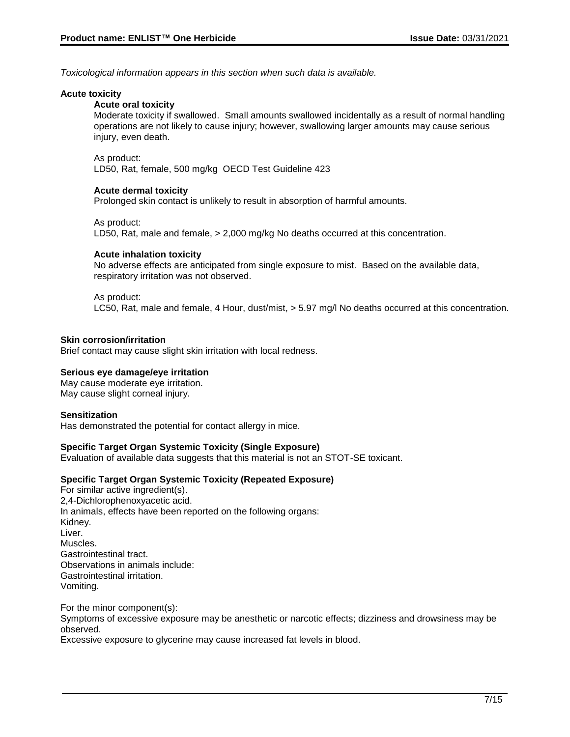*Toxicological information appears in this section when such data is available.*

#### **Acute toxicity**

## **Acute oral toxicity**

Moderate toxicity if swallowed. Small amounts swallowed incidentally as a result of normal handling operations are not likely to cause injury; however, swallowing larger amounts may cause serious injury, even death.

#### As product:

LD50, Rat, female, 500 mg/kg OECD Test Guideline 423

#### **Acute dermal toxicity**

Prolonged skin contact is unlikely to result in absorption of harmful amounts.

#### As product:

LD50, Rat, male and female, > 2,000 mg/kg No deaths occurred at this concentration.

#### **Acute inhalation toxicity**

No adverse effects are anticipated from single exposure to mist. Based on the available data, respiratory irritation was not observed.

#### As product:

LC50, Rat, male and female, 4 Hour, dust/mist, > 5.97 mg/l No deaths occurred at this concentration.

#### **Skin corrosion/irritation**

Brief contact may cause slight skin irritation with local redness.

#### **Serious eye damage/eye irritation**

May cause moderate eye irritation. May cause slight corneal injury.

#### **Sensitization**

Has demonstrated the potential for contact allergy in mice.

#### **Specific Target Organ Systemic Toxicity (Single Exposure)**

Evaluation of available data suggests that this material is not an STOT-SE toxicant.

#### **Specific Target Organ Systemic Toxicity (Repeated Exposure)**

For similar active ingredient(s). 2,4-Dichlorophenoxyacetic acid. In animals, effects have been reported on the following organs: Kidney. Liver. Muscles. Gastrointestinal tract. Observations in animals include: Gastrointestinal irritation. Vomiting.

For the minor component(s): Symptoms of excessive exposure may be anesthetic or narcotic effects; dizziness and drowsiness may be observed.

Excessive exposure to glycerine may cause increased fat levels in blood.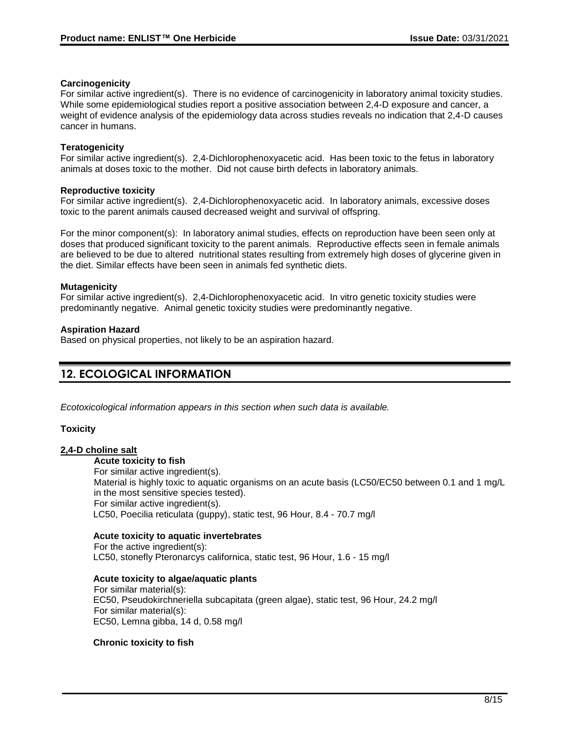## **Carcinogenicity**

For similar active ingredient(s). There is no evidence of carcinogenicity in laboratory animal toxicity studies. While some epidemiological studies report a positive association between 2,4-D exposure and cancer, a weight of evidence analysis of the epidemiology data across studies reveals no indication that 2,4-D causes cancer in humans.

## **Teratogenicity**

For similar active ingredient(s). 2,4-Dichlorophenoxyacetic acid. Has been toxic to the fetus in laboratory animals at doses toxic to the mother. Did not cause birth defects in laboratory animals.

### **Reproductive toxicity**

For similar active ingredient(s). 2,4-Dichlorophenoxyacetic acid. In laboratory animals, excessive doses toxic to the parent animals caused decreased weight and survival of offspring.

For the minor component(s): In laboratory animal studies, effects on reproduction have been seen only at doses that produced significant toxicity to the parent animals. Reproductive effects seen in female animals are believed to be due to altered nutritional states resulting from extremely high doses of glycerine given in the diet. Similar effects have been seen in animals fed synthetic diets.

### **Mutagenicity**

For similar active ingredient(s). 2,4-Dichlorophenoxyacetic acid. In vitro genetic toxicity studies were predominantly negative. Animal genetic toxicity studies were predominantly negative.

### **Aspiration Hazard**

Based on physical properties, not likely to be an aspiration hazard.

## **12. ECOLOGICAL INFORMATION**

*Ecotoxicological information appears in this section when such data is available.*

## **Toxicity**

## **2,4-D choline salt**

#### **Acute toxicity to fish**

For similar active ingredient(s). Material is highly toxic to aquatic organisms on an acute basis (LC50/EC50 between 0.1 and 1 mg/L in the most sensitive species tested). For similar active ingredient(s). LC50, Poecilia reticulata (guppy), static test, 96 Hour, 8.4 - 70.7 mg/l

## **Acute toxicity to aquatic invertebrates**

For the active ingredient(s): LC50, stonefly Pteronarcys californica, static test, 96 Hour, 1.6 - 15 mg/l

#### **Acute toxicity to algae/aquatic plants**

For similar material(s): EC50, Pseudokirchneriella subcapitata (green algae), static test, 96 Hour, 24.2 mg/l For similar material(s): EC50, Lemna gibba, 14 d, 0.58 mg/l

## **Chronic toxicity to fish**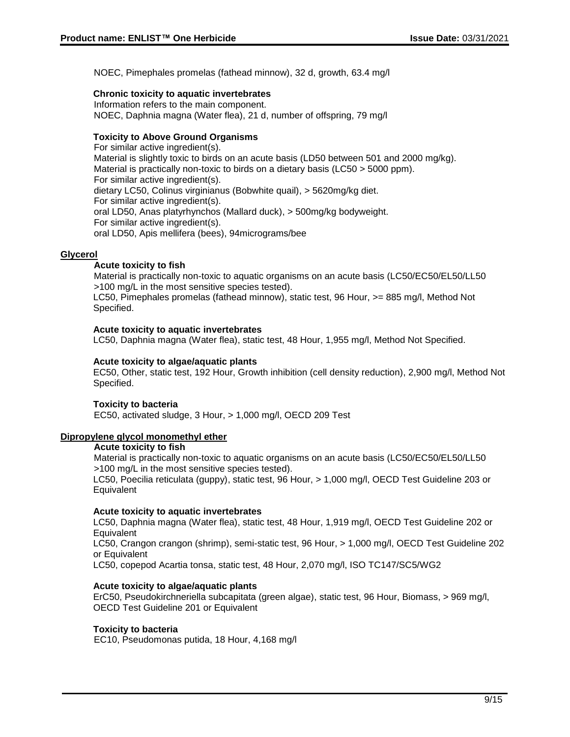NOEC, Pimephales promelas (fathead minnow), 32 d, growth, 63.4 mg/l

### **Chronic toxicity to aquatic invertebrates**

Information refers to the main component. NOEC, Daphnia magna (Water flea), 21 d, number of offspring, 79 mg/l

#### **Toxicity to Above Ground Organisms**

For similar active ingredient(s). Material is slightly toxic to birds on an acute basis (LD50 between 501 and 2000 mg/kg). Material is practically non-toxic to birds on a dietary basis (LC50 > 5000 ppm). For similar active ingredient(s). dietary LC50, Colinus virginianus (Bobwhite quail), > 5620mg/kg diet. For similar active ingredient(s). oral LD50, Anas platyrhynchos (Mallard duck), > 500mg/kg bodyweight. For similar active ingredient(s). oral LD50, Apis mellifera (bees), 94micrograms/bee

#### **Glycerol**

### **Acute toxicity to fish**

Material is practically non-toxic to aquatic organisms on an acute basis (LC50/EC50/EL50/LL50 >100 mg/L in the most sensitive species tested).

LC50, Pimephales promelas (fathead minnow), static test, 96 Hour, >= 885 mg/l, Method Not Specified.

#### **Acute toxicity to aquatic invertebrates**

LC50, Daphnia magna (Water flea), static test, 48 Hour, 1,955 mg/l, Method Not Specified.

#### **Acute toxicity to algae/aquatic plants**

EC50, Other, static test, 192 Hour, Growth inhibition (cell density reduction), 2,900 mg/l, Method Not Specified.

#### **Toxicity to bacteria**

EC50, activated sludge, 3 Hour, > 1,000 mg/l, OECD 209 Test

#### **Dipropylene glycol monomethyl ether**

#### **Acute toxicity to fish**

Material is practically non-toxic to aquatic organisms on an acute basis (LC50/EC50/EL50/LL50 >100 mg/L in the most sensitive species tested).

LC50, Poecilia reticulata (guppy), static test, 96 Hour, > 1,000 mg/l, OECD Test Guideline 203 or **Equivalent** 

#### **Acute toxicity to aquatic invertebrates**

LC50, Daphnia magna (Water flea), static test, 48 Hour, 1,919 mg/l, OECD Test Guideline 202 or **Equivalent** 

LC50, Crangon crangon (shrimp), semi-static test, 96 Hour, > 1,000 mg/l, OECD Test Guideline 202 or Equivalent

LC50, copepod Acartia tonsa, static test, 48 Hour, 2,070 mg/l, ISO TC147/SC5/WG2

#### **Acute toxicity to algae/aquatic plants**

ErC50, Pseudokirchneriella subcapitata (green algae), static test, 96 Hour, Biomass, > 969 mg/l, OECD Test Guideline 201 or Equivalent

#### **Toxicity to bacteria**

EC10, Pseudomonas putida, 18 Hour, 4,168 mg/l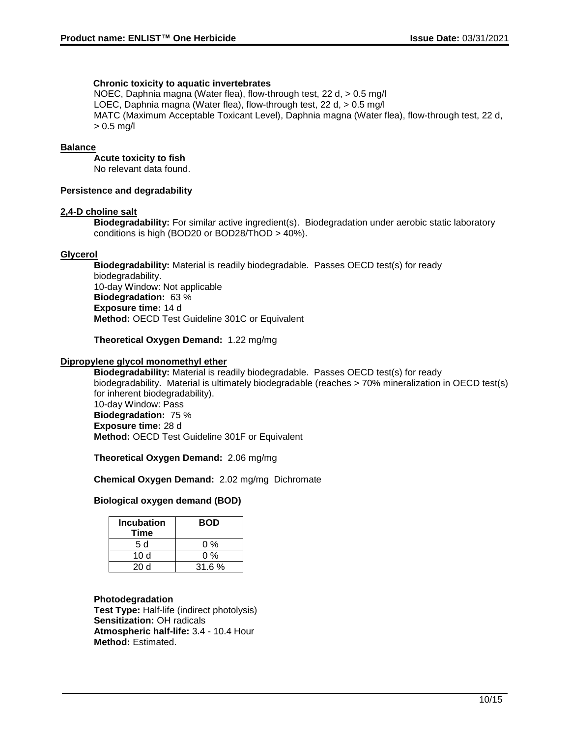#### **Chronic toxicity to aquatic invertebrates**

NOEC, Daphnia magna (Water flea), flow-through test, 22 d, > 0.5 mg/l LOEC, Daphnia magna (Water flea), flow-through test, 22 d, > 0.5 mg/l MATC (Maximum Acceptable Toxicant Level), Daphnia magna (Water flea), flow-through test, 22 d, > 0.5 mg/l

#### **Balance**

#### **Acute toxicity to fish**

No relevant data found.

#### **Persistence and degradability**

#### **2,4-D choline salt**

**Biodegradability:** For similar active ingredient(s). Biodegradation under aerobic static laboratory conditions is high (BOD20 or BOD28/ThOD > 40%).

#### **Glycerol**

**Biodegradability:** Material is readily biodegradable. Passes OECD test(s) for ready biodegradability. 10-day Window: Not applicable **Biodegradation:** 63 % **Exposure time:** 14 d **Method:** OECD Test Guideline 301C or Equivalent

#### **Theoretical Oxygen Demand:** 1.22 mg/mg

#### **Dipropylene glycol monomethyl ether**

**Biodegradability:** Material is readily biodegradable. Passes OECD test(s) for ready biodegradability. Material is ultimately biodegradable (reaches > 70% mineralization in OECD test(s) for inherent biodegradability). 10-day Window: Pass **Biodegradation:** 75 % **Exposure time:** 28 d **Method:** OECD Test Guideline 301F or Equivalent

**Theoretical Oxygen Demand:** 2.06 mg/mg

#### **Chemical Oxygen Demand:** 2.02 mg/mg Dichromate

#### **Biological oxygen demand (BOD)**

| <b>Incubation</b><br>Time | <b>BOD</b> |
|---------------------------|------------|
| 5 d                       | 0 %        |
| 10 d                      | 0 %        |
| 20 d                      | 31.6%      |

#### **Photodegradation**

**Test Type:** Half-life (indirect photolysis) **Sensitization:** OH radicals **Atmospheric half-life:** 3.4 - 10.4 Hour **Method:** Estimated.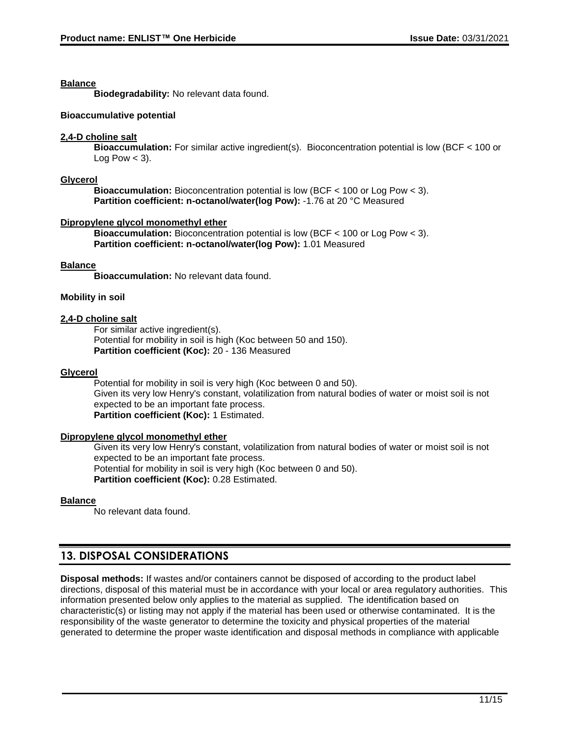### **Balance**

**Biodegradability:** No relevant data found.

### **Bioaccumulative potential**

### **2,4-D choline salt**

**Bioaccumulation:** For similar active ingredient(s). Bioconcentration potential is low (BCF < 100 or Log Pow  $<$  3).

### **Glycerol**

**Bioaccumulation:** Bioconcentration potential is low (BCF < 100 or Log Pow < 3). **Partition coefficient: n-octanol/water(log Pow):** -1.76 at 20 °C Measured

### **Dipropylene glycol monomethyl ether**

**Bioaccumulation:** Bioconcentration potential is low (BCF < 100 or Log Pow < 3). **Partition coefficient: n-octanol/water(log Pow):** 1.01 Measured

## **Balance**

**Bioaccumulation:** No relevant data found.

### **Mobility in soil**

#### **2,4-D choline salt**

For similar active ingredient(s). Potential for mobility in soil is high (Koc between 50 and 150). **Partition coefficient (Koc):** 20 - 136 Measured

### **Glycerol**

Potential for mobility in soil is very high (Koc between 0 and 50). Given its very low Henry's constant, volatilization from natural bodies of water or moist soil is not expected to be an important fate process. **Partition coefficient (Koc):** 1 Estimated.

#### **Dipropylene glycol monomethyl ether**

Given its very low Henry's constant, volatilization from natural bodies of water or moist soil is not expected to be an important fate process. Potential for mobility in soil is very high (Koc between 0 and 50). **Partition coefficient (Koc):** 0.28 Estimated.

## **Balance**

No relevant data found.

## **13. DISPOSAL CONSIDERATIONS**

**Disposal methods:** If wastes and/or containers cannot be disposed of according to the product label directions, disposal of this material must be in accordance with your local or area regulatory authorities. This information presented below only applies to the material as supplied. The identification based on characteristic(s) or listing may not apply if the material has been used or otherwise contaminated. It is the responsibility of the waste generator to determine the toxicity and physical properties of the material generated to determine the proper waste identification and disposal methods in compliance with applicable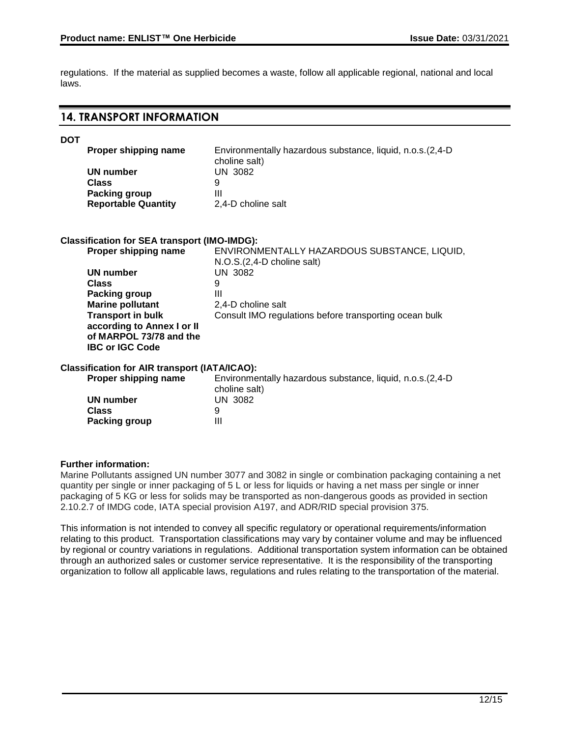regulations. If the material as supplied becomes a waste, follow all applicable regional, national and local laws.

## **14. TRANSPORT INFORMATION**

| <b>DOT</b> |                                                       |                                                                               |
|------------|-------------------------------------------------------|-------------------------------------------------------------------------------|
|            | Proper shipping name                                  | Environmentally hazardous substance, liquid, n.o.s. (2,4-D)                   |
|            | <b>UN number</b>                                      | choline salt)<br><b>UN 3082</b>                                               |
|            | <b>Class</b>                                          | 9                                                                             |
|            | <b>Packing group</b>                                  | Ш                                                                             |
|            | <b>Reportable Quantity</b>                            | 2,4-D choline salt                                                            |
|            |                                                       |                                                                               |
|            | <b>Classification for SEA transport (IMO-IMDG):</b>   |                                                                               |
|            | Proper shipping name                                  | ENVIRONMENTALLY HAZARDOUS SUBSTANCE, LIQUID,<br>$N.O.S.(2,4-D)$ choline salt) |
|            | <b>UN number</b>                                      | <b>UN 3082</b>                                                                |
|            | Class                                                 | 9                                                                             |
|            | <b>Packing group</b>                                  | Ш                                                                             |
|            | <b>Marine pollutant</b>                               | 2.4-D choline salt                                                            |
|            | <b>Transport in bulk</b>                              | Consult IMO regulations before transporting ocean bulk                        |
|            | according to Annex I or II<br>of MARPOL 73/78 and the |                                                                               |
|            | <b>IBC or IGC Code</b>                                |                                                                               |
|            |                                                       |                                                                               |
|            | <b>Classification for AIR transport (IATA/ICAO):</b>  |                                                                               |
|            | Proper shipping name                                  | Environmentally hazardous substance, liquid, n.o.s. (2,4-D)<br>choline salt)  |
|            | <b>UN number</b>                                      | <b>UN 3082</b>                                                                |
|            | Class                                                 | 9                                                                             |
|            | Packing group                                         | Ш                                                                             |
|            |                                                       |                                                                               |

#### **Further information:**

Marine Pollutants assigned UN number 3077 and 3082 in single or combination packaging containing a net quantity per single or inner packaging of 5 L or less for liquids or having a net mass per single or inner packaging of 5 KG or less for solids may be transported as non-dangerous goods as provided in section 2.10.2.7 of IMDG code, IATA special provision A197, and ADR/RID special provision 375.

This information is not intended to convey all specific regulatory or operational requirements/information relating to this product. Transportation classifications may vary by container volume and may be influenced by regional or country variations in regulations. Additional transportation system information can be obtained through an authorized sales or customer service representative. It is the responsibility of the transporting organization to follow all applicable laws, regulations and rules relating to the transportation of the material.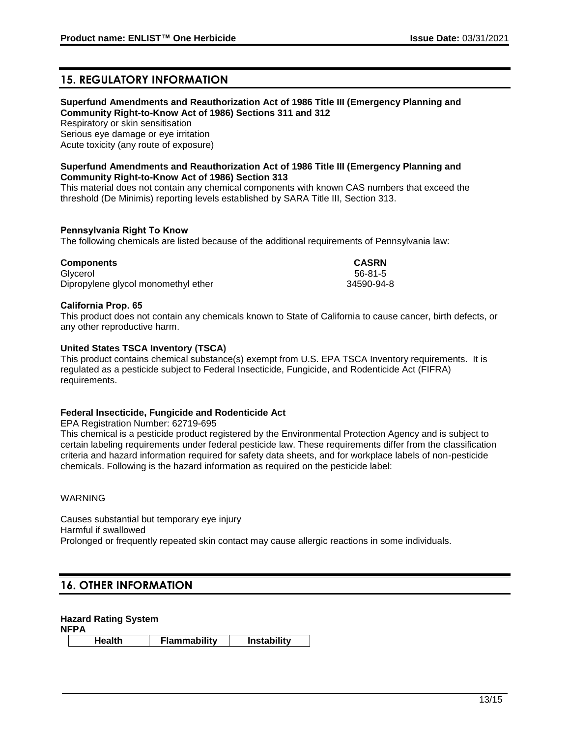## **15. REGULATORY INFORMATION**

#### **Superfund Amendments and Reauthorization Act of 1986 Title III (Emergency Planning and Community Right-to-Know Act of 1986) Sections 311 and 312**

Respiratory or skin sensitisation Serious eye damage or eye irritation Acute toxicity (any route of exposure)

#### **Superfund Amendments and Reauthorization Act of 1986 Title III (Emergency Planning and Community Right-to-Know Act of 1986) Section 313**

This material does not contain any chemical components with known CAS numbers that exceed the threshold (De Minimis) reporting levels established by SARA Title III, Section 313.

#### **Pennsylvania Right To Know**

The following chemicals are listed because of the additional requirements of Pennsylvania law:

| <b>Components</b>                   | <b>CASRN</b> |
|-------------------------------------|--------------|
| Glvcerol                            | 56-81-5      |
| Dipropylene glycol monomethyl ether | 34590-94-8   |

### **California Prop. 65**

This product does not contain any chemicals known to State of California to cause cancer, birth defects, or any other reproductive harm.

### **United States TSCA Inventory (TSCA)**

This product contains chemical substance(s) exempt from U.S. EPA TSCA Inventory requirements. It is regulated as a pesticide subject to Federal Insecticide, Fungicide, and Rodenticide Act (FIFRA) requirements.

#### **Federal Insecticide, Fungicide and Rodenticide Act**

EPA Registration Number: 62719-695

This chemical is a pesticide product registered by the Environmental Protection Agency and is subject to certain labeling requirements under federal pesticide law. These requirements differ from the classification criteria and hazard information required for safety data sheets, and for workplace labels of non-pesticide chemicals. Following is the hazard information as required on the pesticide label:

#### WARNING

Causes substantial but temporary eye injury Harmful if swallowed Prolonged or frequently repeated skin contact may cause allergic reactions in some individuals.

## **16. OTHER INFORMATION**

**Hazard Rating System**

**NFPA**

**Health Flammability Instability**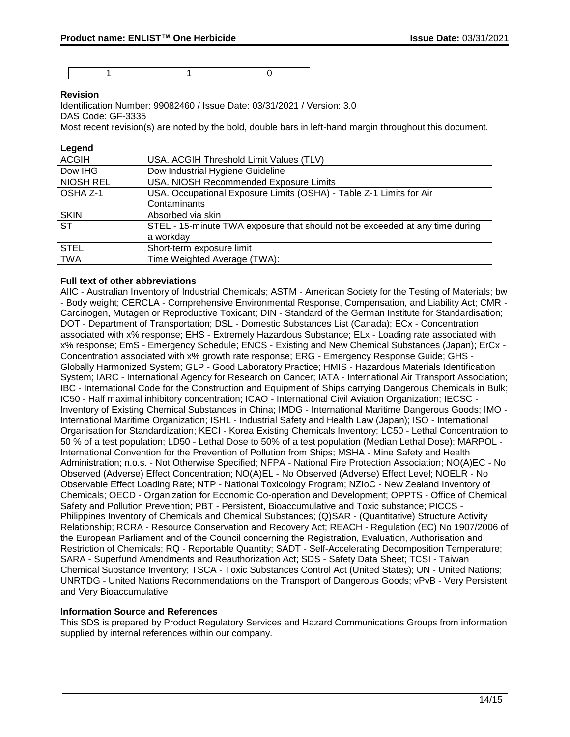1 1 0

### **Revision**

Identification Number: 99082460 / Issue Date: 03/31/2021 / Version: 3.0 DAS Code: GF-3335

Most recent revision(s) are noted by the bold, double bars in left-hand margin throughout this document.

#### **Legend**

| <b>ACGIH</b>           | USA. ACGIH Threshold Limit Values (TLV)                                      |
|------------------------|------------------------------------------------------------------------------|
| Dow IHG                | Dow Industrial Hygiene Guideline                                             |
| <b>NIOSH REL</b>       | USA. NIOSH Recommended Exposure Limits                                       |
| OSHA Z-1               | USA. Occupational Exposure Limits (OSHA) - Table Z-1 Limits for Air          |
|                        | Contaminants                                                                 |
| <b>SKIN</b>            | Absorbed via skin                                                            |
| $\overline{\text{ST}}$ | STEL - 15-minute TWA exposure that should not be exceeded at any time during |
|                        | a workday                                                                    |
| <b>STEL</b>            | Short-term exposure limit                                                    |
| <b>TWA</b>             | Time Weighted Average (TWA):                                                 |

#### **Full text of other abbreviations**

AIIC - Australian Inventory of Industrial Chemicals; ASTM - American Society for the Testing of Materials; bw - Body weight; CERCLA - Comprehensive Environmental Response, Compensation, and Liability Act; CMR - Carcinogen, Mutagen or Reproductive Toxicant; DIN - Standard of the German Institute for Standardisation; DOT - Department of Transportation; DSL - Domestic Substances List (Canada); ECx - Concentration associated with x% response; EHS - Extremely Hazardous Substance; ELx - Loading rate associated with x% response; EmS - Emergency Schedule; ENCS - Existing and New Chemical Substances (Japan); ErCx - Concentration associated with x% growth rate response; ERG - Emergency Response Guide; GHS - Globally Harmonized System; GLP - Good Laboratory Practice; HMIS - Hazardous Materials Identification System; IARC - International Agency for Research on Cancer; IATA - International Air Transport Association; IBC - International Code for the Construction and Equipment of Ships carrying Dangerous Chemicals in Bulk; IC50 - Half maximal inhibitory concentration; ICAO - International Civil Aviation Organization; IECSC - Inventory of Existing Chemical Substances in China; IMDG - International Maritime Dangerous Goods; IMO - International Maritime Organization; ISHL - Industrial Safety and Health Law (Japan); ISO - International Organisation for Standardization; KECI - Korea Existing Chemicals Inventory; LC50 - Lethal Concentration to 50 % of a test population; LD50 - Lethal Dose to 50% of a test population (Median Lethal Dose); MARPOL - International Convention for the Prevention of Pollution from Ships; MSHA - Mine Safety and Health Administration; n.o.s. - Not Otherwise Specified; NFPA - National Fire Protection Association; NO(A)EC - No Observed (Adverse) Effect Concentration; NO(A)EL - No Observed (Adverse) Effect Level; NOELR - No Observable Effect Loading Rate; NTP - National Toxicology Program; NZIoC - New Zealand Inventory of Chemicals; OECD - Organization for Economic Co-operation and Development; OPPTS - Office of Chemical Safety and Pollution Prevention; PBT - Persistent, Bioaccumulative and Toxic substance; PICCS - Philippines Inventory of Chemicals and Chemical Substances; (Q)SAR - (Quantitative) Structure Activity Relationship; RCRA - Resource Conservation and Recovery Act; REACH - Regulation (EC) No 1907/2006 of the European Parliament and of the Council concerning the Registration, Evaluation, Authorisation and Restriction of Chemicals; RQ - Reportable Quantity; SADT - Self-Accelerating Decomposition Temperature; SARA - Superfund Amendments and Reauthorization Act; SDS - Safety Data Sheet; TCSI - Taiwan Chemical Substance Inventory; TSCA - Toxic Substances Control Act (United States); UN - United Nations; UNRTDG - United Nations Recommendations on the Transport of Dangerous Goods; vPvB - Very Persistent and Very Bioaccumulative

#### **Information Source and References**

This SDS is prepared by Product Regulatory Services and Hazard Communications Groups from information supplied by internal references within our company.